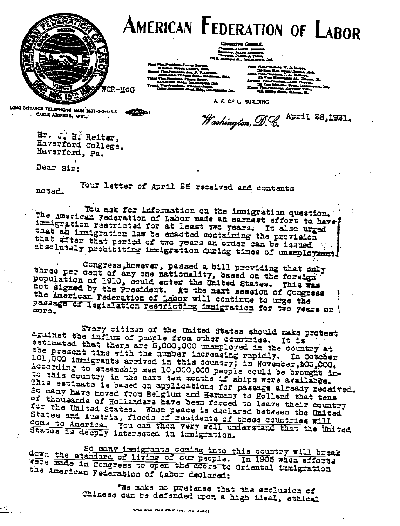

## AMERICAN **F**EDERATION OF **L**ABOR

**Rzecztre Councal** m Treasum, Danma J. Tomm.<br>Treasum, Danma J. Tomm.<br><sup>222</sup> E. Michigns di., Intipanperia, Ind.

20 Sebes Street, Queer, New,<br>Seams, Vier-President, Jea, P. Valencea, Sannai, Vier-Prussians, Jan. P., Vissorum,<br>Commercial: Tribuno Alda., Classansi, Ukla.<br>Third Tier-Prussians, Phagy. Dever. us. Vien-Prominso, Witchen General.<br>11854 Merchante Beach Sta<sub>n,</sub> Indonesia, Ind.

. . . . . **s\_ .1^I1^Y J + S ID. OALL MARRY SERVICE TO ALL.** 

**A. F. OF L BUILDING**

Washington, D.C. April **28,1921**.

Mr. J. H. Reiter, **Haverford College,**

**Haverford, pa.**

**Dear Sir'**

**. cos AOCRCS, ,^L• \_**

noted. Your letter of April **25 received and contents**

You ask for information on the immigration question.<br>The American Federation of Labor made an earnest effort to have The American Federation **of Labor made an earnest** effort **to**, **have** imigration restricted **for at least two years. It also urged** that after that period of two years an order can be issued.<br>absolutely prohibiting immigration during times of unemployment.

three Congress, however, passed a bill providing that only<br>three per cent of any one nationality, based on the foreign<br>population of 1910, could enter the United States. This was population of 1910, could enter the United States. This was not signed by the President. At the next session of Congress **the American Federation** of Labor will **continue to urge the** Passage of legislation restricting immigration for two years or

**Every citizen of the United States should make protest** against the influx of people from other countries. It is estimated that there are 5,000,000 unemployed in the country at **the present time with the number increasing rapidly** . **In October** 101,000 immigrants arrived in this country; in November, 103,000. According to steamship men 10,000,000 people could be brought into this country in the next ten months if ships were available. **This estimate is based an applications for passage already received. SO many have moved from Belgium and Hermany to Holland**, **that tens of thousands of Hollanders have been forced to leave their country** for the United States. **When peace is declared between the United** states and Austria, floods of residents of these countries will come to America. You can then very well understand that the United States is deeply interested in immigration.

So many immigrants coming into this country will break down the standard of living of our people. In 1905 when efforts **veers a in Congress to open a cors** <sup>t</sup>**o Oriental immigration** the American **Federation of Labor declared:**

> **'We make no pretense** that the exclusion of **Chinese can be defended upon** a high ideal, ethical